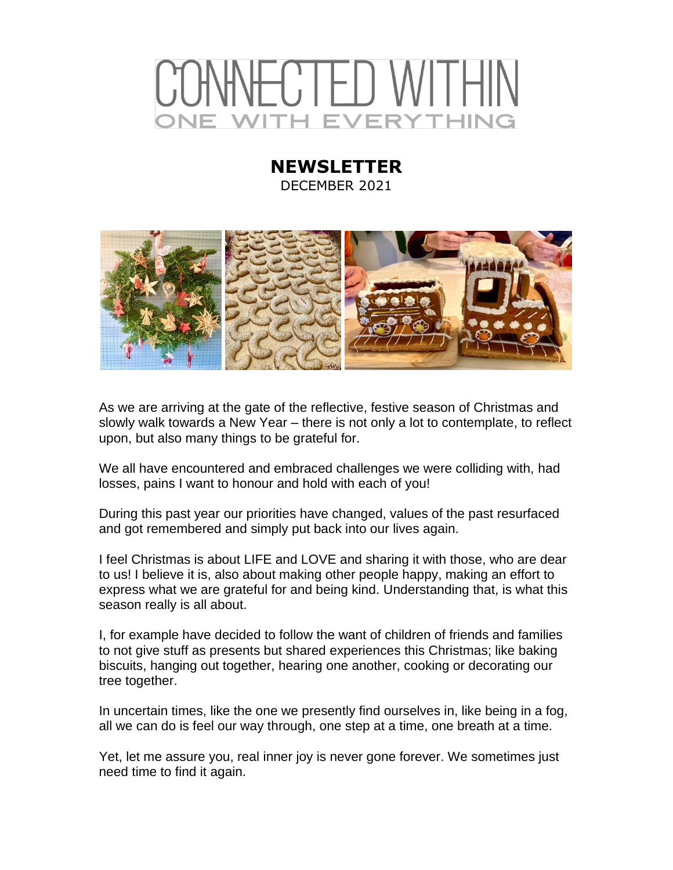## -CTED WITH H EVERYTHING

## **NEWSLETTER** DECEMBER 2021



As we are arriving at the gate of the reflective, festive season of Christmas and slowly walk towards a New Year – there is not only a lot to contemplate, to reflect upon, but also many things to be grateful for.

We all have encountered and embraced challenges we were colliding with, had losses, pains I want to honour and hold with each of you!

During this past year our priorities have changed, values of the past resurfaced and got remembered and simply put back into our lives again.

I feel Christmas is about LIFE and LOVE and sharing it with those, who are dear to us! I believe it is, also about making other people happy, making an effort to express what we are grateful for and being kind. Understanding that, is what this season really is all about.

I, for example have decided to follow the want of children of friends and families to not give stuff as presents but shared experiences this Christmas; like baking biscuits, hanging out together, hearing one another, cooking or decorating our tree together.

In uncertain times, like the one we presently find ourselves in, like being in a fog, all we can do is feel our way through, one step at a time, one breath at a time.

Yet, let me assure you, real inner joy is never gone forever. We sometimes just need time to find it again.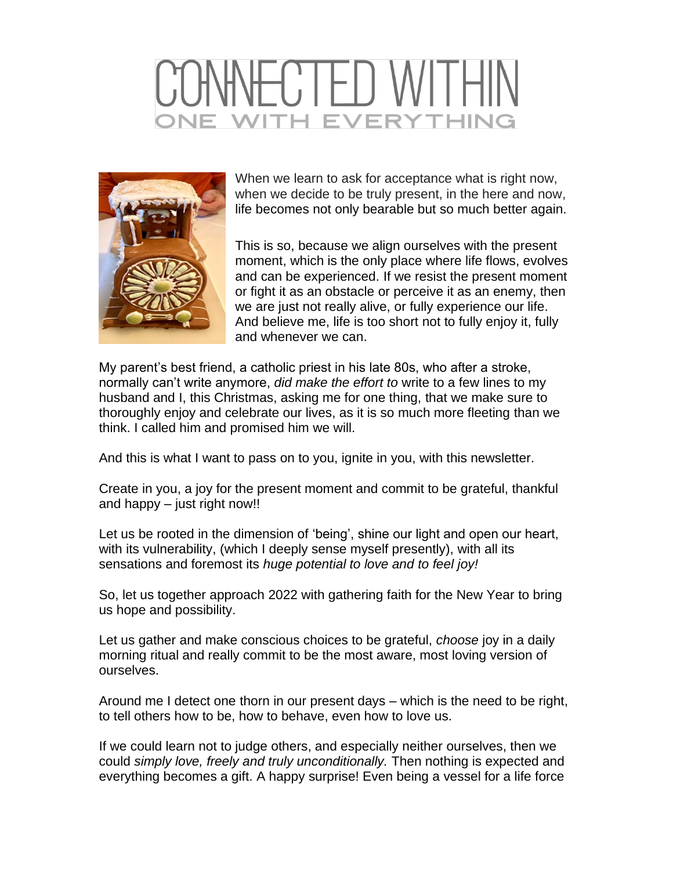## CTED WITH **VITH EVERYTHING**



When we learn to ask for acceptance what is right now, when we decide to be truly present, in the here and now, life becomes not only bearable but so much better again.

This is so, because we align ourselves with the present moment, which is the only place where life flows, evolves and can be experienced. If we resist the present moment or fight it as an obstacle or perceive it as an enemy, then we are just not really alive, or fully experience our life. And believe me, life is too short not to fully enjoy it, fully and whenever we can.

My parent's best friend, a catholic priest in his late 80s, who after a stroke, normally can't write anymore, *did make the effort to* write to a few lines to my husband and I, this Christmas, asking me for one thing, that we make sure to thoroughly enjoy and celebrate our lives, as it is so much more fleeting than we think. I called him and promised him we will.

And this is what I want to pass on to you, ignite in you, with this newsletter.

Create in you, a joy for the present moment and commit to be grateful, thankful and happy – just right now!!

Let us be rooted in the dimension of 'being', shine our light and open our heart, with its vulnerability, (which I deeply sense myself presently), with all its sensations and foremost its *huge potential to love and to feel joy!*

So, let us together approach 2022 with gathering faith for the New Year to bring us hope and possibility.

Let us gather and make conscious choices to be grateful, *choose* joy in a daily morning ritual and really commit to be the most aware, most loving version of ourselves.

Around me I detect one thorn in our present days – which is the need to be right, to tell others how to be, how to behave, even how to love us.

If we could learn not to judge others, and especially neither ourselves, then we could *simply love, freely and truly unconditionally.* Then nothing is expected and everything becomes a gift. A happy surprise! Even being a vessel for a life force